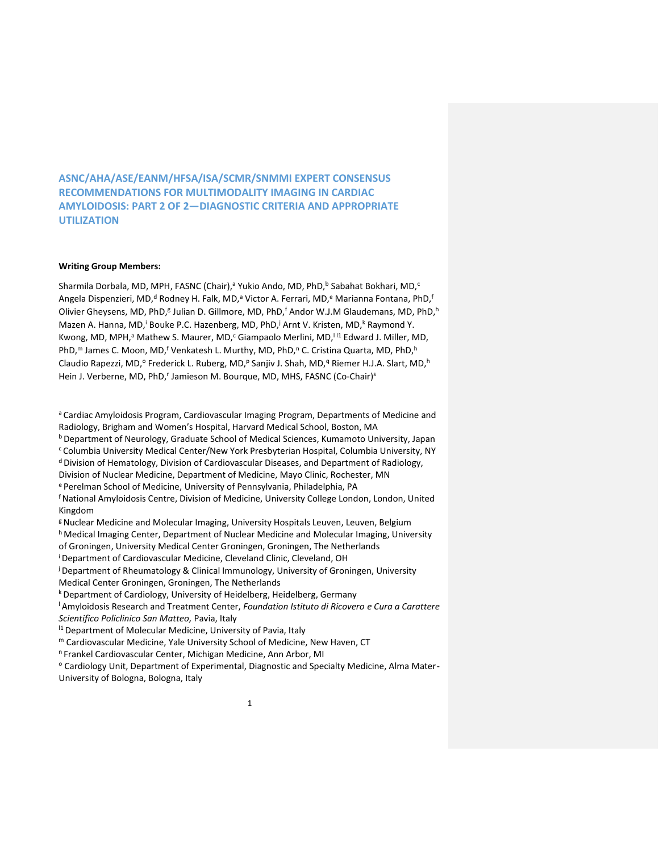<span id="page-0-0"></span>**ASNC/AHA/ASE/EANM/HFSA/ISA/SCMR/SNMMI EXPERT CONSENSUS RECOMMENDATIONS FOR MULTIMODALITY IMAGING IN CARDIAC AMYLOIDOSIS: PART 2 OF 2—DIAGNOSTIC CRITERIA AND APPROPRIATE UTILIZATION**

#### **Writing Group Members:**

Sharmila Dorbala, MD, MPH, FASNC (Chair),<sup>a</sup> Yukio Ando, MD, PhD,<sup>b</sup> Sabahat Bokhari, MD,<sup>c</sup> Angela Dispenzieri, MD,<sup>d</sup> Rodney H. Falk, MD,<sup>a</sup> Victor A. Ferrari, MD,<sup>e</sup> Marianna Fontana, PhD,<sup>f</sup> Olivier Gheysens, MD, PhD,<sup>g</sup> Julian D. Gillmore, MD, PhD,<sup>f</sup> Andor W.J.M Glaudemans, MD, PhD,<sup>h</sup> Mazen A. Hanna, MD,<sup>i</sup> Bouke P.C. Hazenberg, MD, PhD,<sup>j</sup> Arnt V. Kristen, MD,<sup>k</sup> Raymond Y. Kwong, MD, MPH,<sup>a</sup> Mathew S. Maurer, MD,<sup>c</sup> Giampaolo Merlini, MD, <sup>II1</sup> Edward J. Miller, MD, PhD,<sup>m</sup> James C. Moon, MD,<sup>f</sup> Venkatesh L. Murthy, MD, PhD,<sup>n</sup> C. Cristina Quarta, MD, PhD,<sup>h</sup> Claudio Rapezzi, MD,<sup>o</sup> Frederick L. Ruberg, MD,<sup>p</sup> Sanjiv J. Shah, MD,<sup>q</sup> Riemer H.J.A. Slart, MD,<sup>h</sup> Hein J. Verberne, MD, PhD,<sup>r</sup> Jamieson M. Bourque, MD, MHS, FASNC (Co-Chair)<sup>s</sup>

a Cardiac Amyloidosis Program, Cardiovascular Imaging Program, Departments of Medicine and Radiology, Brigham and Women's Hospital, Harvard Medical School, Boston, MA

<sup>b</sup> Department of Neurology, Graduate School of Medical Sciences, Kumamoto University, Japan

<sup>c</sup> Columbia University Medical Center/New York Presbyterian Hospital, Columbia University, NY

<sup>d</sup> Division of Hematology, Division of Cardiovascular Diseases, and Department of Radiology,

Division of Nuclear Medicine, Department of Medicine, Mayo Clinic, Rochester, MN

<sup>e</sup> Perelman School of Medicine, University of Pennsylvania, Philadelphia, PA

<sup>f</sup> National Amyloidosis Centre, Division of Medicine, University College London, London, United Kingdom

<sup>g</sup> Nuclear Medicine and Molecular Imaging, University Hospitals Leuven, Leuven, Belgium

h Medical Imaging Center, Department of Nuclear Medicine and Molecular Imaging, University of Groningen, University Medical Center Groningen, Groningen, The Netherlands

<sup>i</sup> Department of Cardiovascular Medicine, Cleveland Clinic, Cleveland, OH

<sup>j</sup> Department of Rheumatology & Clinical Immunology, University of Groningen, University Medical Center Groningen, Groningen, The Netherlands

<sup>k</sup> Department of Cardiology, University of Heidelberg, Heidelberg, Germany

<sup>l</sup> Amyloidosis Research and Treatment Center, *Foundation Istituto di Ricovero e Cura a Carattere Scientifico Policlinico San Matteo,* Pavia, Italy

<sup>11</sup> Department of Molecular Medicine, University of Pavia, Italy

<sup>m</sup> Cardiovascular Medicine, Yale University School of Medicine, New Haven, CT

<sup>n</sup> Frankel Cardiovascular Center, Michigan Medicine, Ann Arbor, MI

<sup>o</sup> Cardiology Unit, Department of Experimental, Diagnostic and Specialty Medicine, Alma Mater-University of Bologna, Bologna, Italy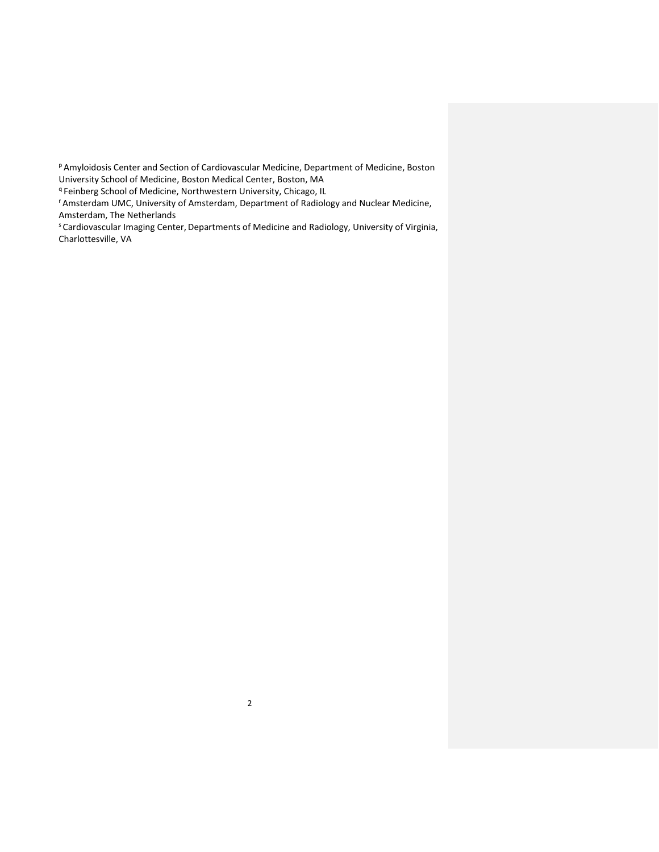<sup>p</sup> Amyloidosis Center and Section of Cardiovascular Medicine, Department of Medicine, Boston University School of Medicine, Boston Medical Center, Boston, MA

<sup>q</sup> Feinberg School of Medicine, Northwestern University, Chicago, IL

<sup>r</sup> Amsterdam UMC, University of Amsterdam, Department of Radiology and Nuclear Medicine, Amsterdam, The Netherlands

<sup>s</sup> Cardiovascular Imaging Center, Departments of Medicine and Radiology, University of Virginia, Charlottesville, VA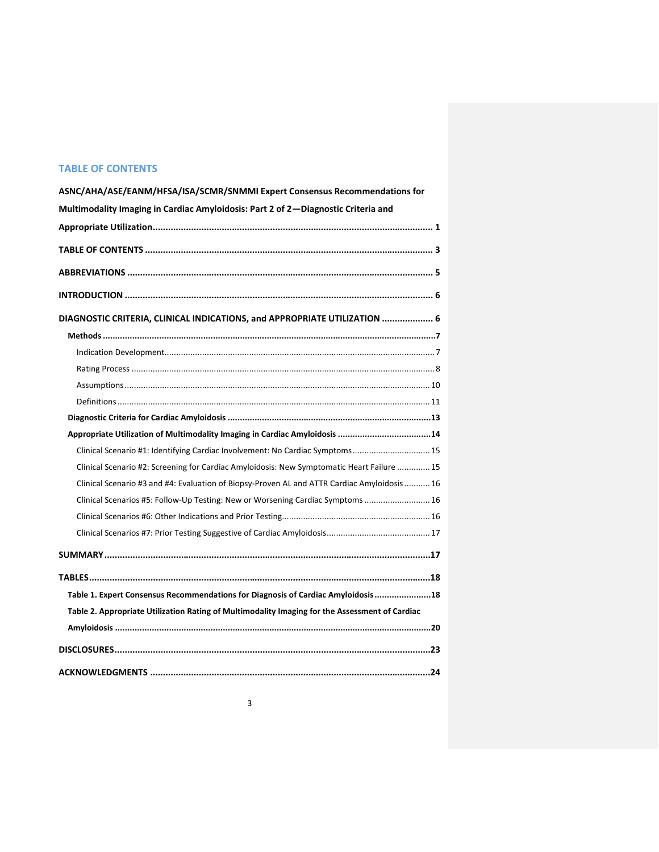# <span id="page-2-0"></span>**TABLE OF CONTENTS**

| ASNC/AHA/ASE/EANM/HFSA/ISA/SCMR/SNMMI Expert Consensus Recommendations for                     |
|------------------------------------------------------------------------------------------------|
| Multimodality Imaging in Cardiac Amyloidosis: Part 2 of 2-Diagnostic Criteria and              |
|                                                                                                |
|                                                                                                |
|                                                                                                |
|                                                                                                |
| DIAGNOSTIC CRITERIA, CLINICAL INDICATIONS, and APPROPRIATE UTILIZATION  6                      |
|                                                                                                |
|                                                                                                |
|                                                                                                |
|                                                                                                |
|                                                                                                |
|                                                                                                |
| Appropriate Utilization of Multimodality Imaging in Cardiac Amyloidosis 14                     |
| Clinical Scenario #1: Identifying Cardiac Involvement: No Cardiac Symptoms 15                  |
| Clinical Scenario #2: Screening for Cardiac Amyloidosis: New Symptomatic Heart Failure  15     |
| Clinical Scenario #3 and #4: Evaluation of Biopsy-Proven AL and ATTR Cardiac Amyloidosis 16    |
| Clinical Scenarios #5: Follow-Up Testing: New or Worsening Cardiac Symptoms 16                 |
|                                                                                                |
|                                                                                                |
|                                                                                                |
|                                                                                                |
| Table 1. Expert Consensus Recommendations for Diagnosis of Cardiac Amyloidosis 18              |
| Table 2. Appropriate Utilization Rating of Multimodality Imaging for the Assessment of Cardiac |
|                                                                                                |
|                                                                                                |
|                                                                                                |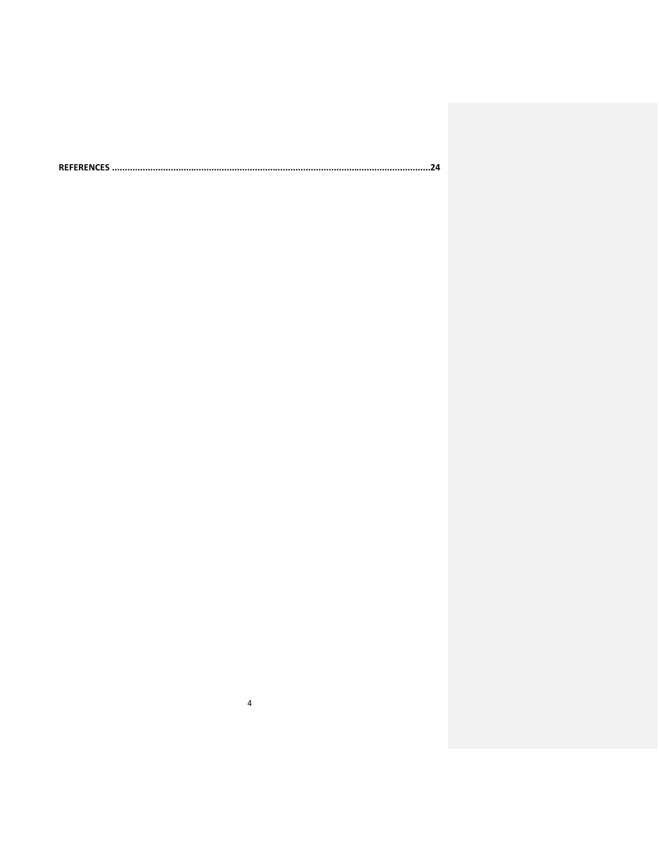$\overline{\mathbf{4}}$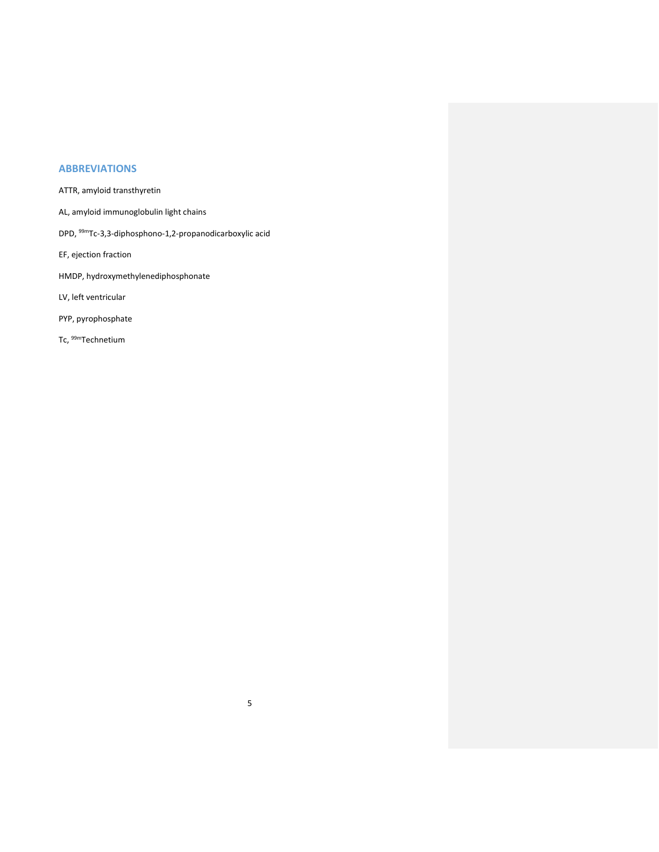## <span id="page-4-0"></span>**ABBREVIATIONS**

ATTR, amyloid transthyretin

AL, amyloid immunoglobulin light chains

DPD, 99mTc-3,3-diphosphono-1,2-propanodicarboxylic acid

EF, ejection fraction

HMDP, hydroxymethylenediphosphonate

LV, left ventricular

PYP, pyrophosphate

Tc, 99mTechnetium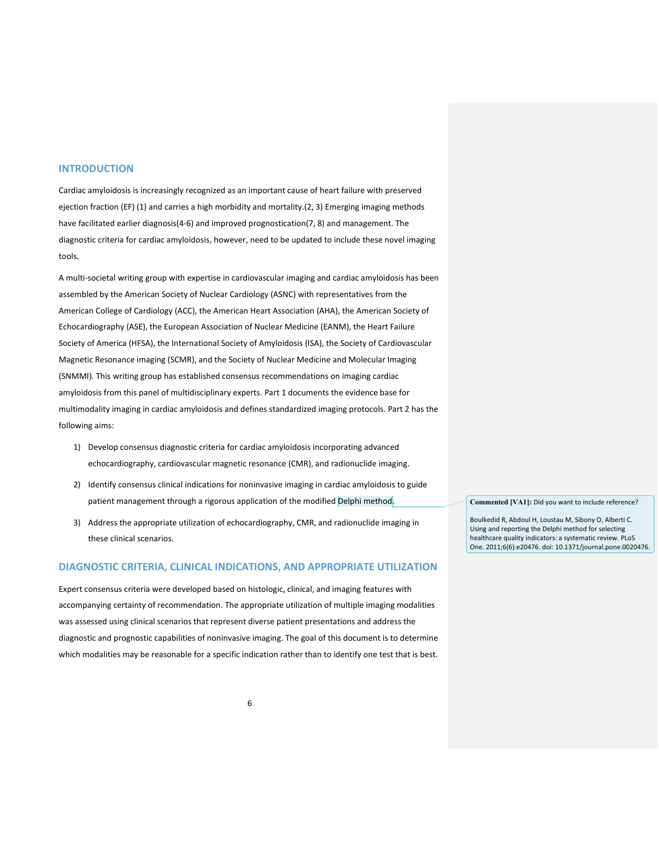## <span id="page-5-0"></span>**INTRODUCTION**

Cardiac amyloidosis is increasingly recognized as an important cause of heart failure with preserved ejection fraction (EF) (1) and carries a high morbidity and mortality.(2, 3) Emerging imaging methods have facilitated earlier diagnosis(4-6) and improved prognostication(7, 8) and management. The diagnostic criteria for cardiac amyloidosis, however, need to be updated to include these novel imaging tools.

A multi-societal writing group with expertise in cardiovascular imaging and cardiac amyloidosis has been assembled by the American Society of Nuclear Cardiology (ASNC) with representatives from the American College of Cardiology (ACC), the American Heart Association (AHA), the American Society of Echocardiography (ASE), the European Association of Nuclear Medicine (EANM), the Heart Failure Society of America (HFSA), the International Society of Amyloidosis (ISA), the Society of Cardiovascular Magnetic Resonance imaging (SCMR), and the Society of Nuclear Medicine and Molecular Imaging (SNMMI). This writing group has established consensus recommendations on imaging cardiac amyloidosis from this panel of multidisciplinary experts. Part 1 documents the evidence base for multimodality imaging in cardiac amyloidosis and defines standardized imaging protocols. Part 2 has the following aims:

- 1) Develop consensus diagnostic criteria for cardiac amyloidosis incorporating advanced echocardiography, cardiovascular magnetic resonance (CMR), and radionuclide imaging.
- 2) Identify consensus clinical indications for noninvasive imaging in cardiac amyloidosis to guide patient management through a rigorous application of the modified Delphi method.
- 3) Address the appropriate utilization of echocardiography, CMR, and radionuclide imaging in these clinical scenarios.

## <span id="page-5-1"></span>**DIAGNOSTIC CRITERIA, CLINICAL INDICATIONS, AND APPROPRIATE UTILIZATION**

Expert consensus criteria were developed based on histologic, clinical, and imaging features with accompanying certainty of recommendation. The appropriate utilization of multiple imaging modalities was assessed using clinical scenarios that represent diverse patient presentations and address the diagnostic and prognostic capabilities of noninvasive imaging. The goal of this document is to determine which modalities may be reasonable for a specific indication rather than to identify one test that is best. **Commented [VA1]:** Did you want to include reference?

Boulkedid R, Abdoul H, Loustau M, Sibony O, Alberti C. Using and reporting the Delphi method for selecting healthcare quality indicators: a systematic review. PLoS One. 2011;6(6):e20476. doi: 10.1371/journal.pone.0020476.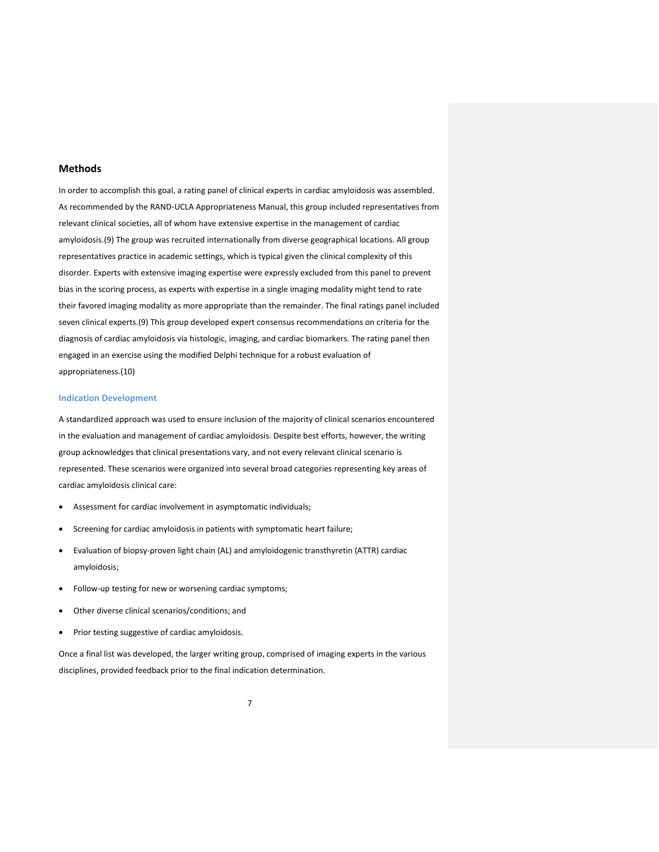## <span id="page-6-0"></span>**Methods**

In order to accomplish this goal, a rating panel of clinical experts in cardiac amyloidosis was assembled. As recommended by the RAND-UCLA Appropriateness Manual, this group included representatives from relevant clinical societies, all of whom have extensive expertise in the management of cardiac amyloidosis.(9) The group was recruited internationally from diverse geographical locations. All group representatives practice in academic settings, which is typical given the clinical complexity of this disorder. Experts with extensive imaging expertise were expressly excluded from this panel to prevent bias in the scoring process, as experts with expertise in a single imaging modality might tend to rate their favored imaging modality as more appropriate than the remainder. The final ratings panel included seven clinical experts.(9) This group developed expert consensus recommendations on criteria for the diagnosis of cardiac amyloidosis via histologic, imaging, and cardiac biomarkers. The rating panel then engaged in an exercise using the modified Delphi technique for a robust evaluation of appropriateness.(10)

#### <span id="page-6-1"></span>**Indication Development**

A standardized approach was used to ensure inclusion of the majority of clinical scenarios encountered in the evaluation and management of cardiac amyloidosis. Despite best efforts, however, the writing group acknowledges that clinical presentations vary, and not every relevant clinical scenario is represented. These scenarios were organized into several broad categories representing key areas of cardiac amyloidosis clinical care:

- Assessment for cardiac involvement in asymptomatic individuals;
- Screening for cardiac amyloidosis in patients with symptomatic heart failure;
- Evaluation of biopsy-proven light chain (AL) and amyloidogenic transthyretin (ATTR) cardiac amyloidosis;
- Follow-up testing for new or worsening cardiac symptoms;
- Other diverse clinical scenarios/conditions; and
- Prior testing suggestive of cardiac amyloidosis.

Once a final list was developed, the larger writing group, comprised of imaging experts in the various disciplines, provided feedback prior to the final indication determination.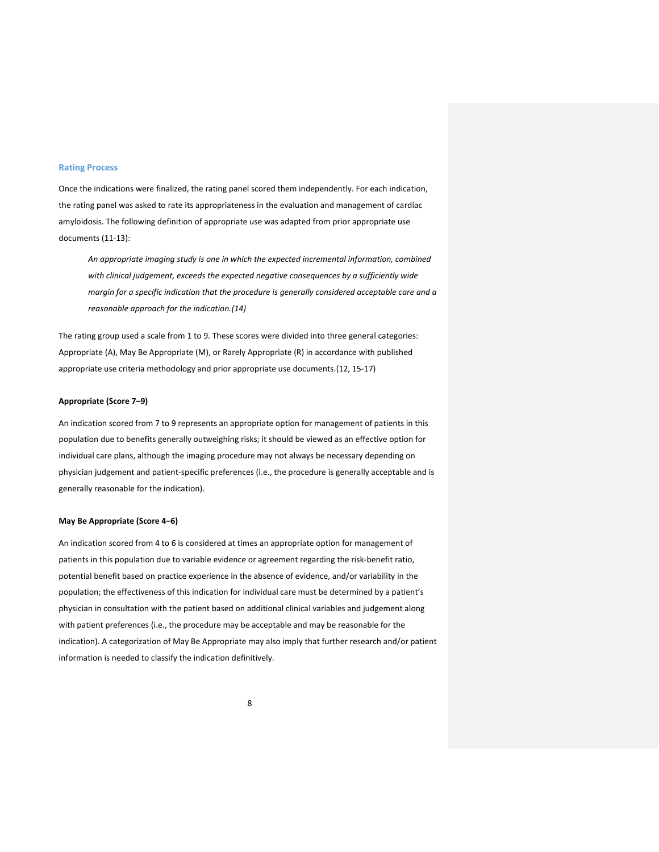#### <span id="page-7-0"></span>**Rating Process**

Once the indications were finalized, the rating panel scored them independently. For each indication, the rating panel was asked to rate its appropriateness in the evaluation and management of cardiac amyloidosis. The following definition of appropriate use was adapted from prior appropriate use documents (11-13):

*An appropriate imaging study is one in which the expected incremental information, combined with clinical judgement, exceeds the expected negative consequences by a sufficiently wide margin for a specific indication that the procedure is generally considered acceptable care and a reasonable approach for the indication.(14)*

The rating group used a scale from 1 to 9. These scores were divided into three general categories: Appropriate (A), May Be Appropriate (M), or Rarely Appropriate (R) in accordance with published appropriate use criteria methodology and prior appropriate use documents.(12, 15-17)

#### **Appropriate (Score 7–9)**

An indication scored from 7 to 9 represents an appropriate option for management of patients in this population due to benefits generally outweighing risks; it should be viewed as an effective option for individual care plans, although the imaging procedure may not always be necessary depending on physician judgement and patient-specific preferences (i.e., the procedure is generally acceptable and is generally reasonable for the indication).

## **May Be Appropriate (Score 4–6)**

An indication scored from 4 to 6 is considered at times an appropriate option for management of patients in this population due to variable evidence or agreement regarding the risk-benefit ratio, potential benefit based on practice experience in the absence of evidence, and/or variability in the population; the effectiveness of this indication for individual care must be determined by a patient's physician in consultation with the patient based on additional clinical variables and judgement along with patient preferences (i.e., the procedure may be acceptable and may be reasonable for the indication). A categorization of May Be Appropriate may also imply that further research and/or patient information is needed to classify the indication definitively.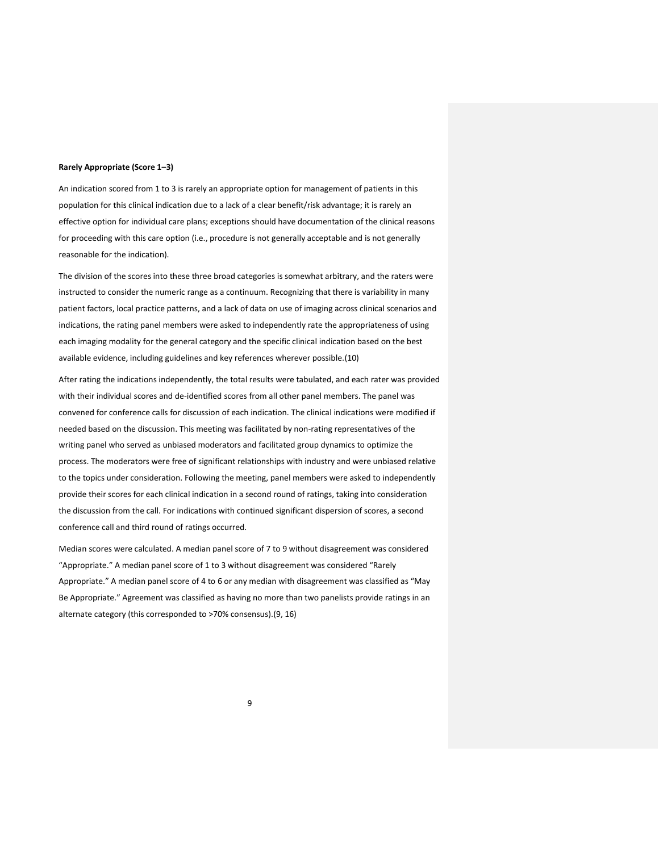#### **Rarely Appropriate (Score 1–3)**

An indication scored from 1 to 3 is rarely an appropriate option for management of patients in this population for this clinical indication due to a lack of a clear benefit/risk advantage; it is rarely an effective option for individual care plans; exceptions should have documentation of the clinical reasons for proceeding with this care option (i.e., procedure is not generally acceptable and is not generally reasonable for the indication).

The division of the scores into these three broad categories is somewhat arbitrary, and the raters were instructed to consider the numeric range as a continuum. Recognizing that there is variability in many patient factors, local practice patterns, and a lack of data on use of imaging across clinical scenarios and indications, the rating panel members were asked to independently rate the appropriateness of using each imaging modality for the general category and the specific clinical indication based on the best available evidence, including guidelines and key references wherever possible.(10)

After rating the indications independently, the total results were tabulated, and each rater was provided with their individual scores and de-identified scores from all other panel members. The panel was convened for conference calls for discussion of each indication. The clinical indications were modified if needed based on the discussion. This meeting was facilitated by non-rating representatives of the writing panel who served as unbiased moderators and facilitated group dynamics to optimize the process. The moderators were free of significant relationships with industry and were unbiased relative to the topics under consideration. Following the meeting, panel members were asked to independently provide their scores for each clinical indication in a second round of ratings, taking into consideration the discussion from the call. For indications with continued significant dispersion of scores, a second conference call and third round of ratings occurred.

Median scores were calculated. A median panel score of 7 to 9 without disagreement was considered "Appropriate." A median panel score of 1 to 3 without disagreement was considered "Rarely Appropriate." A median panel score of 4 to 6 or any median with disagreement was classified as "May Be Appropriate." Agreement was classified as having no more than two panelists provide ratings in an alternate category (this corresponded to >70% consensus).(9, 16)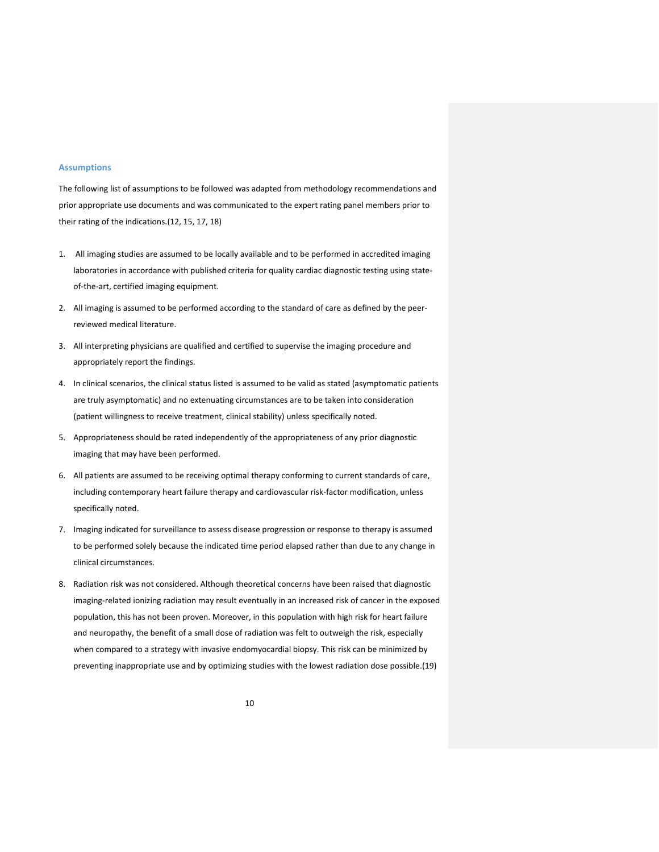#### <span id="page-9-0"></span>**Assumptions**

The following list of assumptions to be followed was adapted from methodology recommendations and prior appropriate use documents and was communicated to the expert rating panel members prior to their rating of the indications.(12, 15, 17, 18)

- 1. All imaging studies are assumed to be locally available and to be performed in accredited imaging laboratories in accordance with published criteria for quality cardiac diagnostic testing using stateof-the-art, certified imaging equipment.
- 2. All imaging is assumed to be performed according to the standard of care as defined by the peerreviewed medical literature.
- 3. All interpreting physicians are qualified and certified to supervise the imaging procedure and appropriately report the findings.
- 4. In clinical scenarios, the clinical status listed is assumed to be valid as stated (asymptomatic patients are truly asymptomatic) and no extenuating circumstances are to be taken into consideration (patient willingness to receive treatment, clinical stability) unless specifically noted.
- 5. Appropriateness should be rated independently of the appropriateness of any prior diagnostic imaging that may have been performed.
- 6. All patients are assumed to be receiving optimal therapy conforming to current standards of care, including contemporary heart failure therapy and cardiovascular risk-factor modification, unless specifically noted.
- 7. Imaging indicated for surveillance to assess disease progression or response to therapy is assumed to be performed solely because the indicated time period elapsed rather than due to any change in clinical circumstances.
- 8. Radiation risk was not considered. Although theoretical concerns have been raised that diagnostic imaging-related ionizing radiation may result eventually in an increased risk of cancer in the exposed population, this has not been proven. Moreover, in this population with high risk for heart failure and neuropathy, the benefit of a small dose of radiation was felt to outweigh the risk, especially when compared to a strategy with invasive endomyocardial biopsy. This risk can be minimized by preventing inappropriate use and by optimizing studies with the lowest radiation dose possible.(19)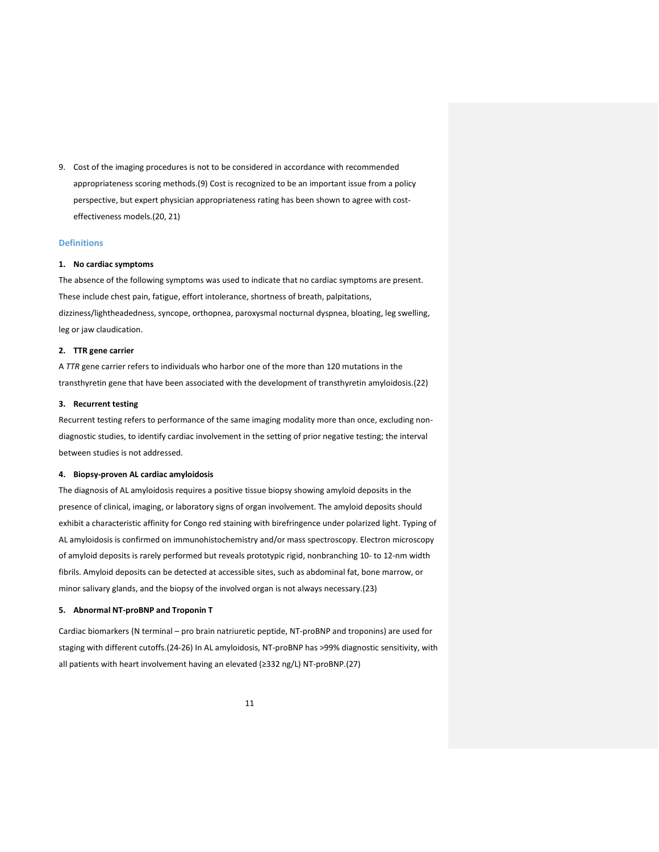9. Cost of the imaging procedures is not to be considered in accordance with recommended appropriateness scoring methods.(9) Cost is recognized to be an important issue from a policy perspective, but expert physician appropriateness rating has been shown to agree with costeffectiveness models.(20, 21)

## <span id="page-10-0"></span>**Definitions**

### **1. No cardiac symptoms**

The absence of the following symptoms was used to indicate that no cardiac symptoms are present. These include chest pain, fatigue, effort intolerance, shortness of breath, palpitations, dizziness/lightheadedness, syncope, orthopnea, paroxysmal nocturnal dyspnea, bloating, leg swelling, leg or jaw claudication.

#### **2. TTR gene carrier**

A *TTR* gene carrier refers to individuals who harbor one of the more than 120 mutations in the transthyretin gene that have been associated with the development of transthyretin amyloidosis.(22)

#### **3. Recurrent testing**

Recurrent testing refers to performance of the same imaging modality more than once, excluding nondiagnostic studies, to identify cardiac involvement in the setting of prior negative testing; the interval between studies is not addressed.

#### **4. Biopsy-proven AL cardiac amyloidosis**

The diagnosis of AL amyloidosis requires a positive tissue biopsy showing amyloid deposits in the presence of clinical, imaging, or laboratory signs of organ involvement. The amyloid deposits should exhibit a characteristic affinity for Congo red staining with birefringence under polarized light. Typing of AL amyloidosis is confirmed on immunohistochemistry and/or mass spectroscopy. Electron microscopy of amyloid deposits is rarely performed but reveals prototypic rigid, nonbranching 10- to 12-nm width fibrils. Amyloid deposits can be detected at accessible sites, such as abdominal fat, bone marrow, or minor salivary glands, and the biopsy of the involved organ is not always necessary.(23)

#### **5. Abnormal NT-proBNP and Troponin T**

Cardiac biomarkers (N terminal – pro brain natriuretic peptide, NT-proBNP and troponins) are used for staging with different cutoffs.(24-26) In AL amyloidosis, NT-proBNP has >99% diagnostic sensitivity, with all patients with heart involvement having an elevated (≥332 ng/L) NT-proBNP.(27)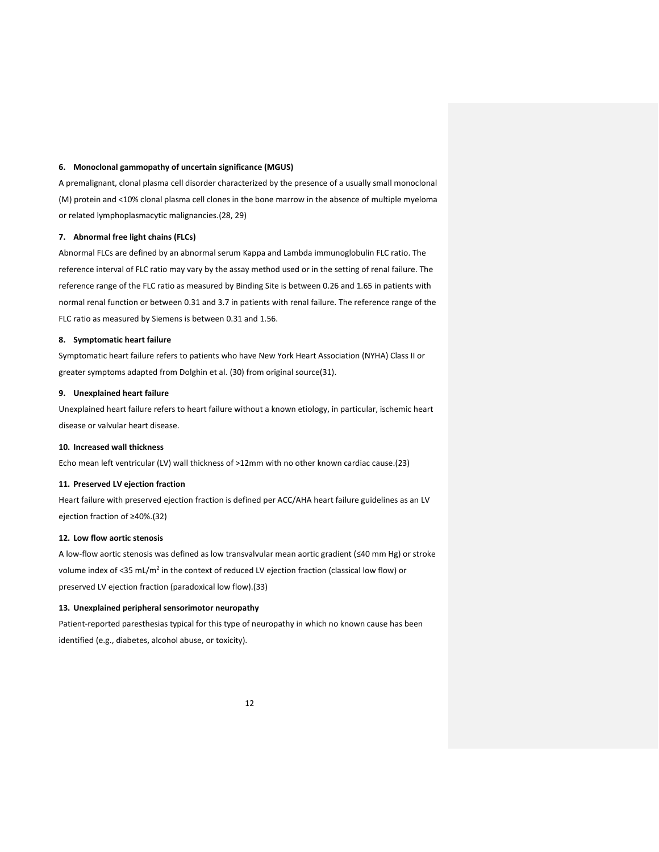#### **6. Monoclonal gammopathy of uncertain significance (MGUS)**

A premalignant, clonal plasma cell disorder characterized by the presence of a usually small monoclonal (M) protein and <10% clonal plasma cell clones in the bone marrow in the absence of multiple myeloma or related lymphoplasmacytic malignancies.(28, 29)

## **7. Abnormal free light chains (FLCs)**

Abnormal FLCs are defined by an abnormal serum Kappa and Lambda immunoglobulin FLC ratio. The reference interval of FLC ratio may vary by the assay method used or in the setting of renal failure. The reference range of the FLC ratio as measured by Binding Site is between 0.26 and 1.65 in patients with normal renal function or between 0.31 and 3.7 in patients with renal failure. The reference range of the FLC ratio as measured by Siemens is between 0.31 and 1.56.

#### **8. Symptomatic heart failure**

Symptomatic heart failure refers to patients who have New York Heart Association (NYHA) Class II or greater symptoms adapted from Dolghin et al. (30) from original source(31).

## **9. Unexplained heart failure**

Unexplained heart failure refers to heart failure without a known etiology, in particular, ischemic heart disease or valvular heart disease.

#### **10. Increased wall thickness**

Echo mean left ventricular (LV) wall thickness of >12mm with no other known cardiac cause.(23)

#### **11. Preserved LV ejection fraction**

Heart failure with preserved ejection fraction is defined per ACC/AHA heart failure guidelines as an LV ejection fraction of ≥40%.(32)

#### **12. Low flow aortic stenosis**

A low-flow aortic stenosis was defined as low transvalvular mean aortic gradient (≤40 mm Hg) or stroke volume index of <35 mL/m<sup>2</sup> in the context of reduced LV ejection fraction (classical low flow) or preserved LV ejection fraction (paradoxical low flow).(33)

#### **13. Unexplained peripheral sensorimotor neuropathy**

Patient-reported paresthesias typical for this type of neuropathy in which no known cause has been identified (e.g., diabetes, alcohol abuse, or toxicity).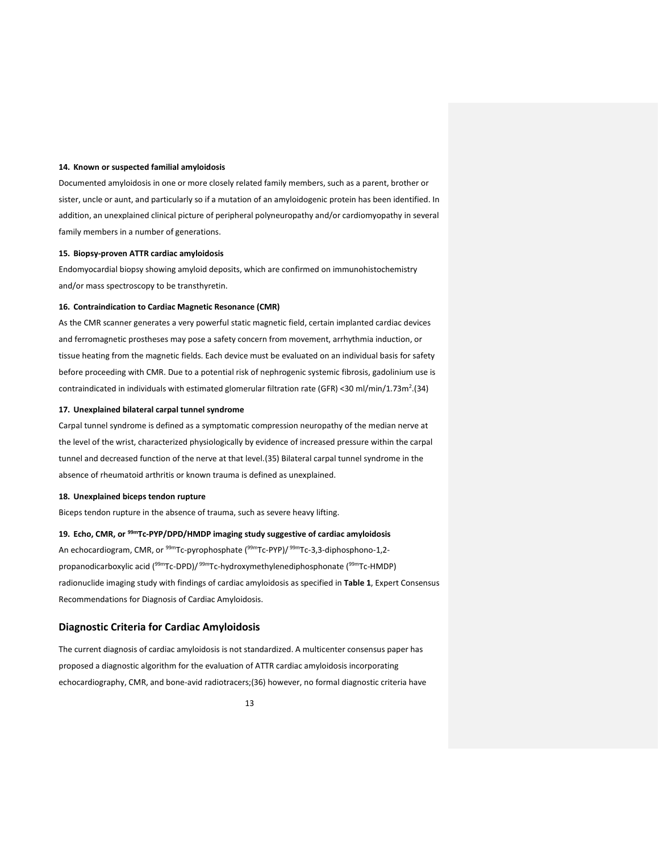#### **14. Known or suspected familial amyloidosis**

Documented amyloidosis in one or more closely related family members, such as a parent, brother or sister, uncle or aunt, and particularly so if a mutation of an amyloidogenic protein has been identified. In addition, an unexplained clinical picture of peripheral polyneuropathy and/or cardiomyopathy in several family members in a number of generations.

#### **15. Biopsy-proven ATTR cardiac amyloidosis**

Endomyocardial biopsy showing amyloid deposits, which are confirmed on immunohistochemistry and/or mass spectroscopy to be transthyretin.

### **16. Contraindication to Cardiac Magnetic Resonance (CMR)**

As the CMR scanner generates a very powerful static magnetic field, certain implanted cardiac devices and ferromagnetic prostheses may pose a safety concern from movement, arrhythmia induction, or tissue heating from the magnetic fields. Each device must be evaluated on an individual basis for safety before proceeding with CMR. Due to a potential risk of nephrogenic systemic fibrosis, gadolinium use is contraindicated in individuals with estimated glomerular filtration rate (GFR) <30 ml/min/1.73m<sup>2</sup>.(34)

#### **17. Unexplained bilateral carpal tunnel syndrome**

Carpal tunnel syndrome is defined as a symptomatic compression neuropathy of the median nerve at the level of the wrist, characterized physiologically by evidence of increased pressure within the carpal tunnel and decreased function of the nerve at that level.(35) Bilateral carpal tunnel syndrome in the absence of rheumatoid arthritis or known trauma is defined as unexplained.

#### **18. Unexplained biceps tendon rupture**

Biceps tendon rupture in the absence of trauma, such as severe heavy lifting.

#### **19. Echo, CMR, or 99mTc-PYP/DPD/HMDP imaging study suggestive of cardiac amyloidosis**

An echocardiogram, CMR, or <sup>99m</sup>Tc-pyrophosphate (<sup>99m</sup>Tc-PYP)/<sup>99m</sup>Tc-3,3-diphosphono-1,2propanodicarboxylic acid (<sup>99m</sup>Tc-DPD)/<sup>99m</sup>Tc-hydroxymethylenediphosphonate (<sup>99m</sup>Tc-HMDP) radionuclide imaging study with findings of cardiac amyloidosis as specified in **Table 1**, Expert Consensus Recommendations for Diagnosis of Cardiac Amyloidosis.

## <span id="page-12-0"></span>**Diagnostic Criteria for Cardiac Amyloidosis**

The current diagnosis of cardiac amyloidosis is not standardized. A multicenter consensus paper has proposed a diagnostic algorithm for the evaluation of ATTR cardiac amyloidosis incorporating echocardiography, CMR, and bone-avid radiotracers;(36) however, no formal diagnostic criteria have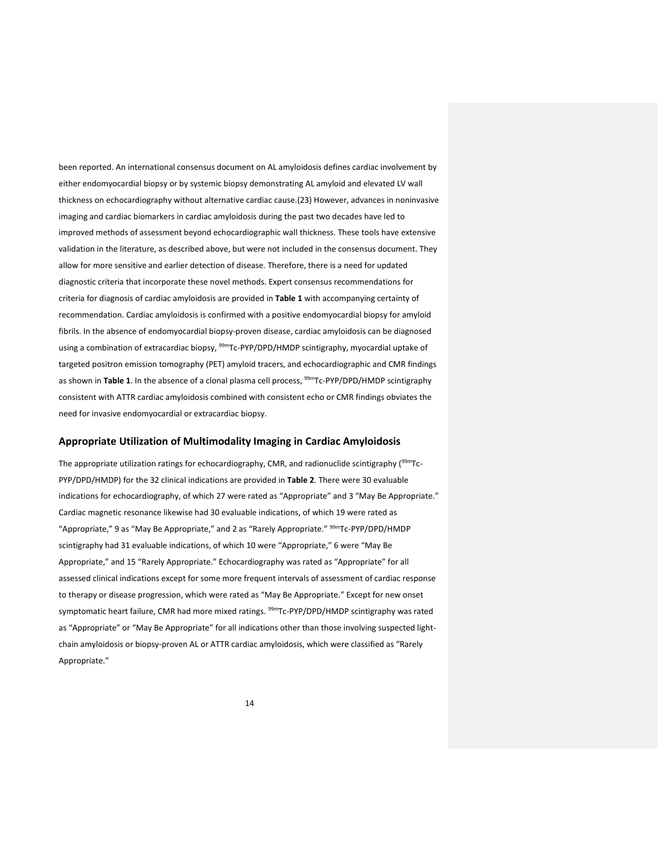been reported. An international consensus document on AL amyloidosis defines cardiac involvement by either endomyocardial biopsy or by systemic biopsy demonstrating AL amyloid and elevated LV wall thickness on echocardiography without alternative cardiac cause.(23) However, advances in noninvasive imaging and cardiac biomarkers in cardiac amyloidosis during the past two decades have led to improved methods of assessment beyond echocardiographic wall thickness. These tools have extensive validation in the literature, as described above, but were not included in the consensus document. They allow for more sensitive and earlier detection of disease. Therefore, there is a need for updated diagnostic criteria that incorporate these novel methods. Expert consensus recommendations for criteria for diagnosis of cardiac amyloidosis are provided in **Table 1** with accompanying certainty of recommendation. Cardiac amyloidosis is confirmed with a positive endomyocardial biopsy for amyloid fibrils. In the absence of endomyocardial biopsy-proven disease, cardiac amyloidosis can be diagnosed using a combination of extracardiac biopsy, <sup>99m</sup>Tc-PYP/DPD/HMDP scintigraphy, myocardial uptake of targeted positron emission tomography (PET) amyloid tracers, and echocardiographic and CMR findings as shown in **Table 1**. In the absence of a clonal plasma cell process, 99mTc-PYP/DPD/HMDP scintigraphy consistent with ATTR cardiac amyloidosis combined with consistent echo or CMR findings obviates the need for invasive endomyocardial or extracardiac biopsy.

## <span id="page-13-0"></span>**Appropriate Utilization of Multimodality Imaging in Cardiac Amyloidosis**

The appropriate utilization ratings for echocardiography, CMR, and radionuclide scintigraphy (<sup>99m</sup>Tc-PYP/DPD/HMDP) for the 32 clinical indications are provided in **Table 2**. There were 30 evaluable indications for echocardiography, of which 27 were rated as "Appropriate" and 3 "May Be Appropriate." Cardiac magnetic resonance likewise had 30 evaluable indications, of which 19 were rated as "Appropriate," 9 as "May Be Appropriate," and 2 as "Rarely Appropriate." <sup>99m</sup>Tc-PYP/DPD/HMDP scintigraphy had 31 evaluable indications, of which 10 were "Appropriate," 6 were "May Be Appropriate," and 15 "Rarely Appropriate." Echocardiography was rated as "Appropriate" for all assessed clinical indications except for some more frequent intervals of assessment of cardiac response to therapy or disease progression, which were rated as "May Be Appropriate." Except for new onset symptomatic heart failure, CMR had more mixed ratings. <sup>99m</sup>Tc-PYP/DPD/HMDP scintigraphy was rated as "Appropriate" or "May Be Appropriate" for all indications other than those involving suspected lightchain amyloidosis or biopsy-proven AL or ATTR cardiac amyloidosis, which were classified as "Rarely Appropriate."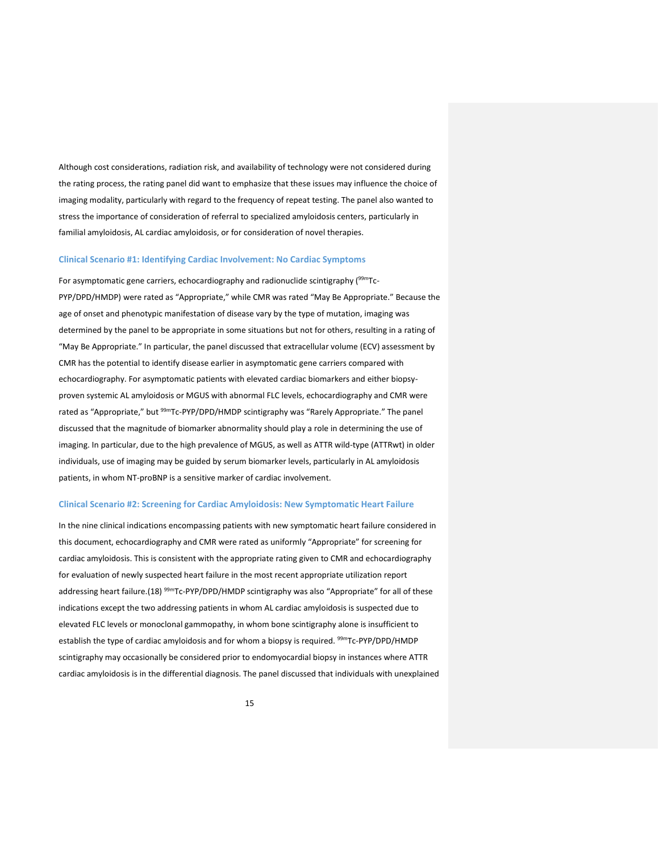Although cost considerations, radiation risk, and availability of technology were not considered during the rating process, the rating panel did want to emphasize that these issues may influence the choice of imaging modality, particularly with regard to the frequency of repeat testing. The panel also wanted to stress the importance of consideration of referral to specialized amyloidosis centers, particularly in familial amyloidosis, AL cardiac amyloidosis, or for consideration of novel therapies.

#### <span id="page-14-0"></span>**Clinical Scenario #1: Identifying Cardiac Involvement: No Cardiac Symptoms**

For asymptomatic gene carriers, echocardiography and radionuclide scintigraphy (99mTc-PYP/DPD/HMDP) were rated as "Appropriate," while CMR was rated "May Be Appropriate." Because the age of onset and phenotypic manifestation of disease vary by the type of mutation, imaging was determined by the panel to be appropriate in some situations but not for others, resulting in a rating of "May Be Appropriate." In particular, the panel discussed that extracellular volume (ECV) assessment by CMR has the potential to identify disease earlier in asymptomatic gene carriers compared with echocardiography. For asymptomatic patients with elevated cardiac biomarkers and either biopsyproven systemic AL amyloidosis or MGUS with abnormal FLC levels, echocardiography and CMR were rated as "Appropriate," but <sup>99m</sup>Tc-PYP/DPD/HMDP scintigraphy was "Rarely Appropriate." The panel discussed that the magnitude of biomarker abnormality should play a role in determining the use of imaging. In particular, due to the high prevalence of MGUS, as well as ATTR wild-type (ATTRwt) in older individuals, use of imaging may be guided by serum biomarker levels, particularly in AL amyloidosis patients, in whom NT-proBNP is a sensitive marker of cardiac involvement.

#### <span id="page-14-1"></span>**Clinical Scenario #2: Screening for Cardiac Amyloidosis: New Symptomatic Heart Failure**

In the nine clinical indications encompassing patients with new symptomatic heart failure considered in this document, echocardiography and CMR were rated as uniformly "Appropriate" for screening for cardiac amyloidosis. This is consistent with the appropriate rating given to CMR and echocardiography for evaluation of newly suspected heart failure in the most recent appropriate utilization report addressing heart failure.(18) <sup>99m</sup>Tc-PYP/DPD/HMDP scintigraphy was also "Appropriate" for all of these indications except the two addressing patients in whom AL cardiac amyloidosis is suspected due to elevated FLC levels or monoclonal gammopathy, in whom bone scintigraphy alone is insufficient to establish the type of cardiac amyloidosis and for whom a biopsy is required. <sup>99m</sup>Tc-PYP/DPD/HMDP scintigraphy may occasionally be considered prior to endomyocardial biopsy in instances where ATTR cardiac amyloidosis is in the differential diagnosis. The panel discussed that individuals with unexplained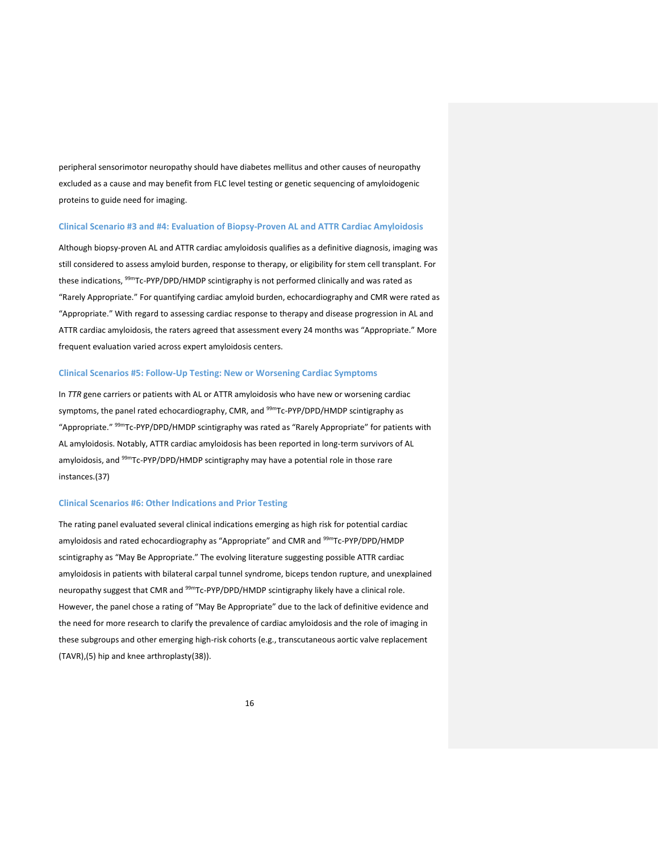peripheral sensorimotor neuropathy should have diabetes mellitus and other causes of neuropathy excluded as a cause and may benefit from FLC level testing or genetic sequencing of amyloidogenic proteins to guide need for imaging.

#### <span id="page-15-0"></span>**Clinical Scenario #3 and #4: Evaluation of Biopsy-Proven AL and ATTR Cardiac Amyloidosis**

Although biopsy-proven AL and ATTR cardiac amyloidosis qualifies as a definitive diagnosis, imaging was still considered to assess amyloid burden, response to therapy, or eligibility for stem cell transplant. For these indications, <sup>99m</sup>Tc-PYP/DPD/HMDP scintigraphy is not performed clinically and was rated as "Rarely Appropriate." For quantifying cardiac amyloid burden, echocardiography and CMR were rated as "Appropriate." With regard to assessing cardiac response to therapy and disease progression in AL and ATTR cardiac amyloidosis, the raters agreed that assessment every 24 months was "Appropriate." More frequent evaluation varied across expert amyloidosis centers.

## <span id="page-15-1"></span>**Clinical Scenarios #5: Follow-Up Testing: New or Worsening Cardiac Symptoms**

In *TTR* gene carriers or patients with AL or ATTR amyloidosis who have new or worsening cardiac symptoms, the panel rated echocardiography, CMR, and <sup>99m</sup>Tc-PYP/DPD/HMDP scintigraphy as "Appropriate." 99mTc-PYP/DPD/HMDP scintigraphy was rated as "Rarely Appropriate" for patients with AL amyloidosis. Notably, ATTR cardiac amyloidosis has been reported in long-term survivors of AL amyloidosis, and <sup>99m</sup>Tc-PYP/DPD/HMDP scintigraphy may have a potential role in those rare instances.(37)

## <span id="page-15-2"></span>**Clinical Scenarios #6: Other Indications and Prior Testing**

The rating panel evaluated several clinical indications emerging as high risk for potential cardiac amyloidosis and rated echocardiography as "Appropriate" and CMR and <sup>99m</sup>Tc-PYP/DPD/HMDP scintigraphy as "May Be Appropriate." The evolving literature suggesting possible ATTR cardiac amyloidosis in patients with bilateral carpal tunnel syndrome, biceps tendon rupture, and unexplained neuropathy suggest that CMR and <sup>99m</sup>Tc-PYP/DPD/HMDP scintigraphy likely have a clinical role. However, the panel chose a rating of "May Be Appropriate" due to the lack of definitive evidence and the need for more research to clarify the prevalence of cardiac amyloidosis and the role of imaging in these subgroups and other emerging high-risk cohorts (e.g., transcutaneous aortic valve replacement (TAVR),(5) hip and knee arthroplasty(38)).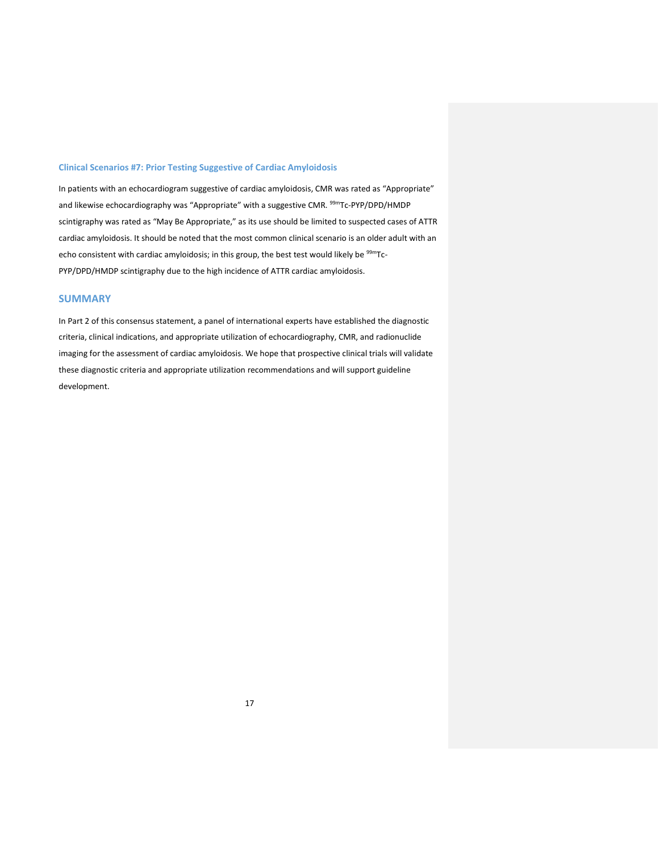## <span id="page-16-0"></span>**Clinical Scenarios #7: Prior Testing Suggestive of Cardiac Amyloidosis**

In patients with an echocardiogram suggestive of cardiac amyloidosis, CMR was rated as "Appropriate" and likewise echocardiography was "Appropriate" with a suggestive CMR. <sup>99m</sup>Tc-PYP/DPD/HMDP scintigraphy was rated as "May Be Appropriate," as its use should be limited to suspected cases of ATTR cardiac amyloidosis. It should be noted that the most common clinical scenario is an older adult with an echo consistent with cardiac amyloidosis; in this group, the best test would likely be <sup>99m</sup>Tc-PYP/DPD/HMDP scintigraphy due to the high incidence of ATTR cardiac amyloidosis.

## <span id="page-16-1"></span>**SUMMARY**

In Part 2 of this consensus statement, a panel of international experts have established the diagnostic criteria, clinical indications, and appropriate utilization of echocardiography, CMR, and radionuclide imaging for the assessment of cardiac amyloidosis. We hope that prospective clinical trials will validate these diagnostic criteria and appropriate utilization recommendations and will support guideline development.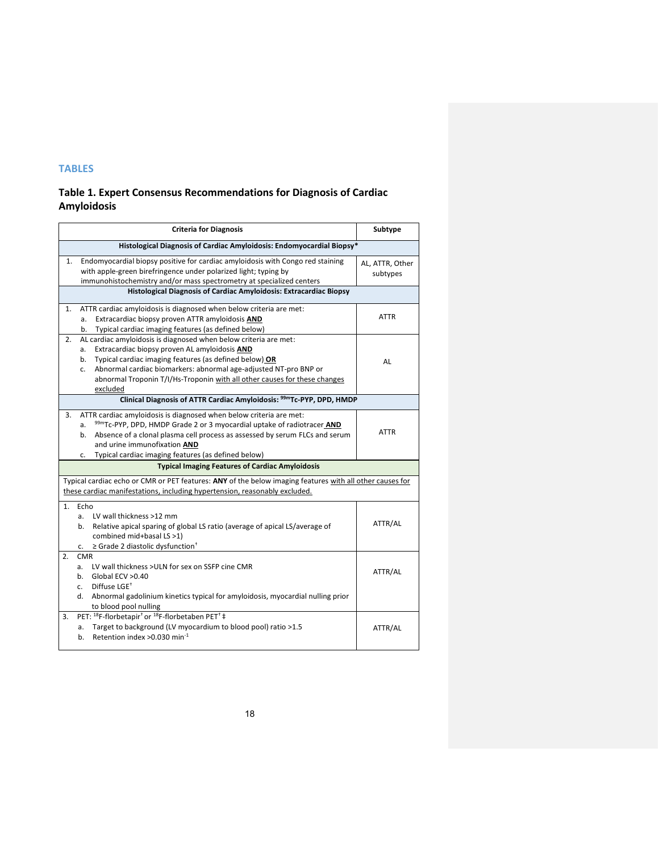## <span id="page-17-0"></span>**TABLES**

# <span id="page-17-1"></span>**Table 1. Expert Consensus Recommendations for Diagnosis of Cardiac Amyloidosis**

| <b>Criteria for Diagnosis</b>                                                                                                                                                                                                                                                                                                                                    | Subtype                     |  |  |  |  |
|------------------------------------------------------------------------------------------------------------------------------------------------------------------------------------------------------------------------------------------------------------------------------------------------------------------------------------------------------------------|-----------------------------|--|--|--|--|
| Histological Diagnosis of Cardiac Amyloidosis: Endomyocardial Biopsy*                                                                                                                                                                                                                                                                                            |                             |  |  |  |  |
| Endomyocardial biopsy positive for cardiac amyloidosis with Congo red staining<br>1.<br>with apple-green birefringence under polarized light; typing by<br>immunohistochemistry and/or mass spectrometry at specialized centers                                                                                                                                  | AL, ATTR, Other<br>subtypes |  |  |  |  |
| Histological Diagnosis of Cardiac Amyloidosis: Extracardiac Biopsy                                                                                                                                                                                                                                                                                               |                             |  |  |  |  |
| ATTR cardiac amyloidosis is diagnosed when below criteria are met:<br>1.<br>Extracardiac biopsy proven ATTR amyloidosis AND<br>a.<br>Typical cardiac imaging features (as defined below)<br>b.                                                                                                                                                                   | <b>ATTR</b>                 |  |  |  |  |
| AL cardiac amyloidosis is diagnosed when below criteria are met:<br>2.<br>Extracardiac biopsy proven AL amyloidosis AND<br>a.<br>Typical cardiac imaging features (as defined below) OR<br>b.<br>Abnormal cardiac biomarkers: abnormal age-adjusted NT-pro BNP or<br>c.<br>abnormal Troponin T/I/Hs-Troponin with all other causes for these changes<br>excluded | AL                          |  |  |  |  |
| Clinical Diagnosis of ATTR Cardiac Amyloidosis: 99mTc-PYP, DPD, HMDP                                                                                                                                                                                                                                                                                             |                             |  |  |  |  |
| ATTR cardiac amyloidosis is diagnosed when below criteria are met:<br>3.<br>99mTc-PYP, DPD, HMDP Grade 2 or 3 myocardial uptake of radiotracer AND<br>a.<br>Absence of a clonal plasma cell process as assessed by serum FLCs and serum<br>b.<br>and urine immunofixation AND<br>Typical cardiac imaging features (as defined below)<br>c.                       | <b>ATTR</b>                 |  |  |  |  |
| <b>Typical Imaging Features of Cardiac Amyloidosis</b>                                                                                                                                                                                                                                                                                                           |                             |  |  |  |  |
| Typical cardiac echo or CMR or PET features: ANY of the below imaging features with all other causes for<br>these cardiac manifestations, including hypertension, reasonably excluded.                                                                                                                                                                           |                             |  |  |  |  |
| Echo<br>1.<br>LV wall thickness >12 mm<br>a.<br>Relative apical sparing of global LS ratio (average of apical LS/average of<br>b.<br>combined mid+basal LS >1)<br>$\geq$ Grade 2 diastolic dysfunction <sup>†</sup><br>c.                                                                                                                                        | ATTR/AL                     |  |  |  |  |
| $\overline{2}$ .<br><b>CMR</b><br>LV wall thickness >ULN for sex on SSFP cine CMR<br>a.<br>b. Global ECV $>0.40$<br>Diffuse LGE <sup>+</sup><br>c.<br>Abnormal gadolinium kinetics typical for amyloidosis, myocardial nulling prior<br>d.<br>to blood pool nulling                                                                                              | ATTR/AL                     |  |  |  |  |
| PET: 18F-florbetapir <sup>+</sup> or <sup>18</sup> F-florbetaben PET <sup>+</sup> ‡<br>3.<br>Target to background (LV myocardium to blood pool) ratio >1.5<br>a.<br>Retention index > 0.030 min <sup>-1</sup><br>b.                                                                                                                                              | ATTR/AL                     |  |  |  |  |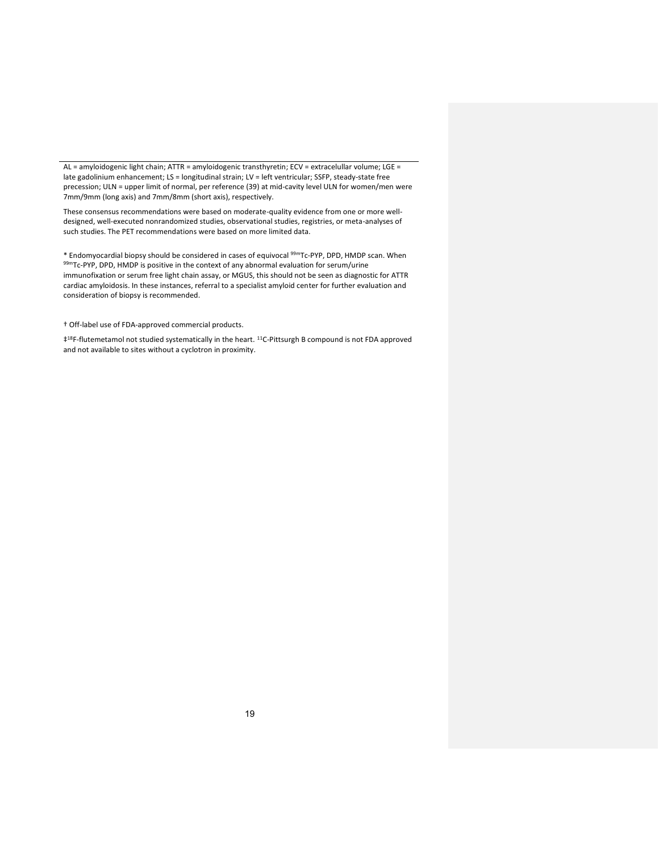AL = amyloidogenic light chain; ATTR = amyloidogenic transthyretin; ECV = extracelullar volume; LGE = late gadolinium enhancement; LS = longitudinal strain; LV = left ventricular; SSFP, steady-state free precession; ULN = upper limit of normal, per reference (39) at mid-cavity level ULN for women/men were 7mm/9mm (long axis) and 7mm/8mm (short axis), respectively.

These consensus recommendations were based on moderate-quality evidence from one or more welldesigned, well-executed nonrandomized studies, observational studies, registries, or meta-analyses of such studies. The PET recommendations were based on more limited data.

\* Endomyocardial biopsy should be considered in cases of equivocal 99mTc-PYP, DPD, HMDP scan. When  $99mTc$ -PYP, DPD, HMDP is positive in the context of any abnormal evaluation for serum/urine immunofixation or serum free light chain assay, or MGUS, this should not be seen as diagnostic for ATTR cardiac amyloidosis. In these instances, referral to a specialist amyloid center for further evaluation and consideration of biopsy is recommended.

† Off-label use of FDA-approved commercial products.

‡ <sup>18</sup>F-flutemetamol not studied systematically in the heart. <sup>11</sup>C-Pittsurgh B compound is not FDA approved and not available to sites without a cyclotron in proximity.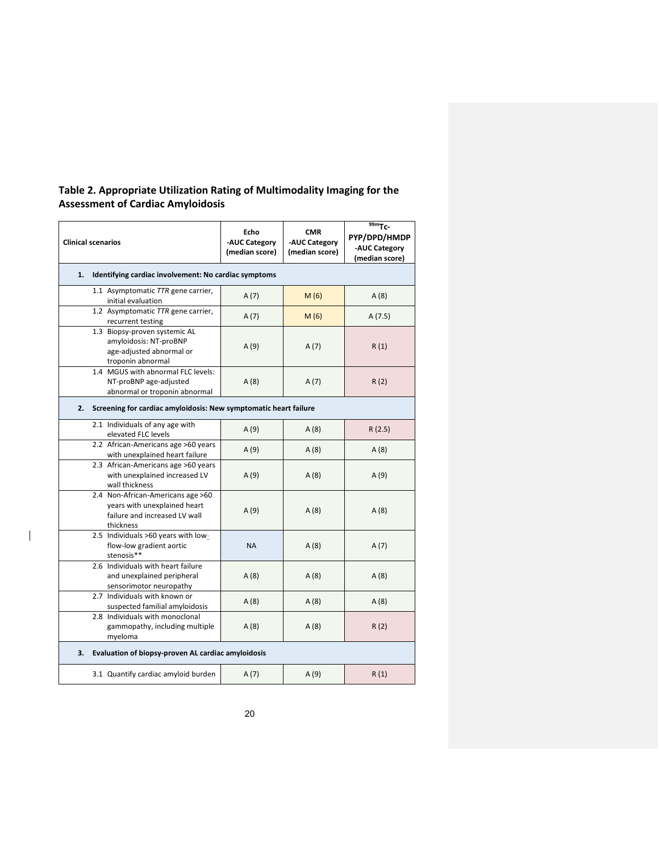# <span id="page-19-0"></span>**Table 2. Appropriate Utilization Rating of Multimodality Imaging for the Assessment of Cardiac Amyloidosis**

| <b>Clinical scenarios</b>                                                                                       | Echo<br>-AUC Category<br>(median score) | <b>CMR</b><br>-AUC Category<br>(median score) | $99m$ Tc-<br>PYP/DPD/HMDP<br>-AUC Category<br>(median score) |  |  |  |
|-----------------------------------------------------------------------------------------------------------------|-----------------------------------------|-----------------------------------------------|--------------------------------------------------------------|--|--|--|
| 1.<br>Identifying cardiac involvement: No cardiac symptoms                                                      |                                         |                                               |                                                              |  |  |  |
| 1.1 Asymptomatic TTR gene carrier,<br>initial evaluation                                                        | A(7)                                    | M(6)                                          | A(8)                                                         |  |  |  |
| 1.2 Asymptomatic TTR gene carrier,<br>recurrent testing                                                         | A(7)                                    | M(6)                                          | A(7.5)                                                       |  |  |  |
| 1.3 Biopsy-proven systemic AL<br>amyloidosis: NT-proBNP<br>age-adjusted abnormal or<br>troponin abnormal        | A(9)                                    | A(7)                                          | R(1)                                                         |  |  |  |
| 1.4 MGUS with abnormal FLC levels:<br>NT-proBNP age-adjusted<br>abnormal or troponin abnormal                   | A(8)                                    | A(7)                                          | R(2)                                                         |  |  |  |
| 2.<br>Screening for cardiac amyloidosis: New symptomatic heart failure                                          |                                         |                                               |                                                              |  |  |  |
| 2.1 Individuals of any age with<br>elevated FLC levels                                                          | A(9)                                    | A(8)                                          | R(2.5)                                                       |  |  |  |
| 2.2 African-Americans age >60 years<br>with unexplained heart failure                                           | A(9)                                    | A(8)                                          | A(8)                                                         |  |  |  |
| 2.3 African-Americans age >60 years<br>with unexplained increased LV<br>wall thickness                          | A(9)                                    | A(8)                                          | A(9)                                                         |  |  |  |
| 2.4 Non-African-Americans age >60<br>years with unexplained heart<br>failure and increased LV wall<br>thickness | A(9)                                    | A(8)                                          | A(8)                                                         |  |  |  |
| 2.5 Individuals >60 years with low-<br>flow-low gradient aortic<br>stenosis**                                   | <b>NA</b>                               | A(8)                                          | A(7)                                                         |  |  |  |
| 2.6 Individuals with heart failure<br>and unexplained peripheral<br>sensorimotor neuropathy                     | A(8)                                    | A(8)                                          | A(8)                                                         |  |  |  |
| 2.7 Individuals with known or<br>suspected familial amyloidosis                                                 | A(8)                                    | A(8)                                          | A(8)                                                         |  |  |  |
| 2.8 Individuals with monoclonal<br>gammopathy, including multiple<br>myeloma                                    | A(8)                                    | A(8)                                          | R (2)                                                        |  |  |  |
| Evaluation of biopsy-proven AL cardiac amyloidosis<br>3.                                                        |                                         |                                               |                                                              |  |  |  |
| 3.1 Quantify cardiac amyloid burden                                                                             | A(7)                                    | A(9)                                          | R(1)                                                         |  |  |  |

 $\overline{1}$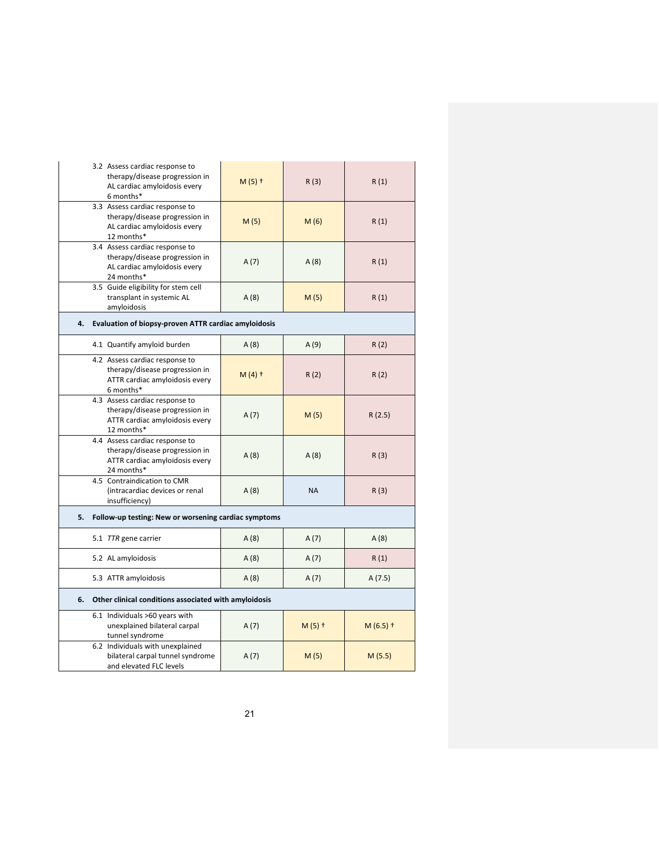| 3.2 Assess cardiac response to<br>therapy/disease progression in<br>AL cardiac amyloidosis every<br>6 months*    | $M(5)$ † | R(3)      |            |  |
|------------------------------------------------------------------------------------------------------------------|----------|-----------|------------|--|
| 3.3 Assess cardiac response to<br>therapy/disease progression in<br>AL cardiac amyloidosis every<br>12 months*   | M(5)     | M(6)      | R(1)       |  |
| 3.4 Assess cardiac response to<br>therapy/disease progression in<br>AL cardiac amyloidosis every<br>24 months*   | A(7)     | A(8)      | R(1)       |  |
| 3.5 Guide eligibility for stem cell<br>transplant in systemic AL<br>amyloidosis                                  | A(8)     | M(5)      | R(1)       |  |
| 4.<br>Evaluation of biopsy-proven ATTR cardiac amyloidosis                                                       |          |           |            |  |
| 4.1 Quantify amyloid burden                                                                                      | A(8)     | A(9)      | R(2)       |  |
| 4.2 Assess cardiac response to<br>therapy/disease progression in<br>ATTR cardiac amyloidosis every<br>6 months*  | $M(4)$ + | R(2)      | R(2)       |  |
| 4.3 Assess cardiac response to<br>therapy/disease progression in<br>ATTR cardiac amyloidosis every<br>12 months* | A(7)     | M(5)      | R(2.5)     |  |
| 4.4 Assess cardiac response to<br>therapy/disease progression in<br>ATTR cardiac amyloidosis every<br>24 months* | A(8)     | A(8)      | R(3)       |  |
| 4.5 Contraindication to CMR<br>(intracardiac devices or renal<br>insufficiency)                                  | A(8)     | <b>NA</b> | R(3)       |  |
| 5.<br>Follow-up testing: New or worsening cardiac symptoms                                                       |          |           |            |  |
| 5.1 TTR gene carrier                                                                                             | A(8)     | A(7)      | A(8)       |  |
| 5.2 AL amyloidosis                                                                                               | A(8)     | A(7)      | R(1)       |  |
| 5.3 ATTR amyloidosis                                                                                             | A(8)     | A(7)      | A(7.5)     |  |
| 6.<br>Other clinical conditions associated with amyloidosis                                                      |          |           |            |  |
| 6.1 Individuals >60 years with<br>unexplained bilateral carpal<br>tunnel syndrome                                | A(7)     | $M(5)$ †  | $M(6.5)$ † |  |
| 6.2 Individuals with unexplained<br>bilateral carpal tunnel syndrome<br>and elevated FLC levels                  | A(7)     | M(5)      | M(5.5)     |  |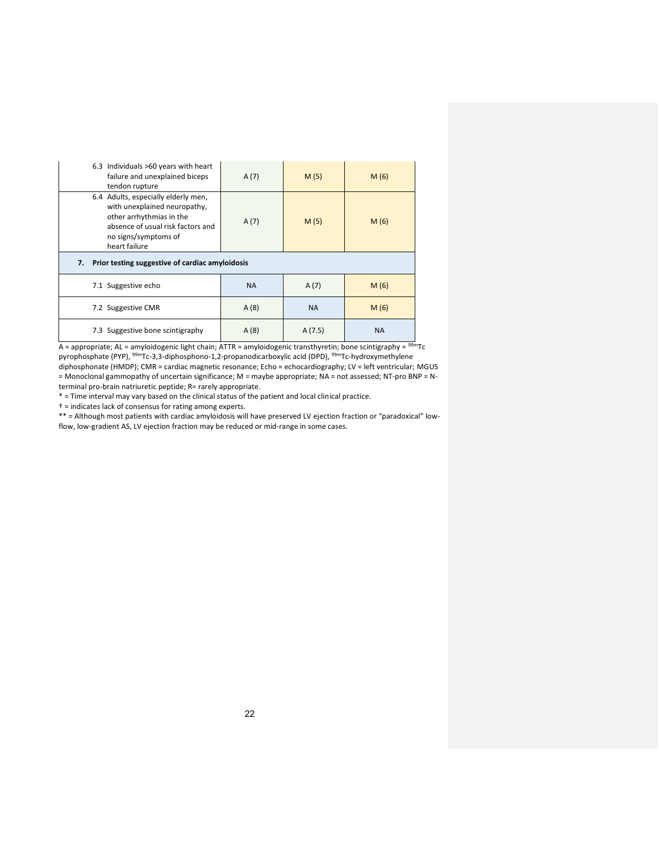| 6.3 Individuals >60 years with heart<br>failure and unexplained biceps<br>tendon rupture                                                                                      | A(7)      | M(5)      | M(6)      |  |  |
|-------------------------------------------------------------------------------------------------------------------------------------------------------------------------------|-----------|-----------|-----------|--|--|
| 6.4 Adults, especially elderly men,<br>with unexplained neuropathy,<br>other arrhythmias in the<br>absence of usual risk factors and<br>no signs/symptoms of<br>heart failure | A(7)      | M(5)      | M(6)      |  |  |
| Prior testing suggestive of cardiac amyloidosis<br>7.                                                                                                                         |           |           |           |  |  |
| 7.1 Suggestive echo                                                                                                                                                           | <b>NA</b> | A(7)      | M(6)      |  |  |
| 7.2 Suggestive CMR                                                                                                                                                            | A(8)      | <b>NA</b> | M(6)      |  |  |
| 7.3 Suggestive bone scintigraphy                                                                                                                                              | A(8)      | A(7.5)    | <b>NA</b> |  |  |

A = appropriate; AL = amyloidogenic light chain; ATTR = amyloidogenic transthyretin; bone scintigraphy =  $^{99\rm{m}}$ Tc pyrophosphate (PYP), <sup>99m</sup>Tc-3,3-diphosphono-1,2-propanodicarboxylic acid (DPD), <sup>99m</sup>Tc-hydroxymethylene diphosphonate (HMDP); CMR = cardiac magnetic resonance; Echo = echocardiography; LV = left ventricular; MGUS = Monoclonal gammopathy of uncertain significance; M = maybe appropriate; NA = not assessed; NT-pro BNP = Nterminal pro-brain natriuretic peptide; R= rarely appropriate.

\* = Time interval may vary based on the clinical status of the patient and local clinical practice.

† = indicates lack of consensus for rating among experts.

\*\* = Although most patients with cardiac amyloidosis will have preserved LV ejection fraction or "paradoxical" lowflow, low-gradient AS, LV ejection fraction may be reduced or mid-range in some cases.

22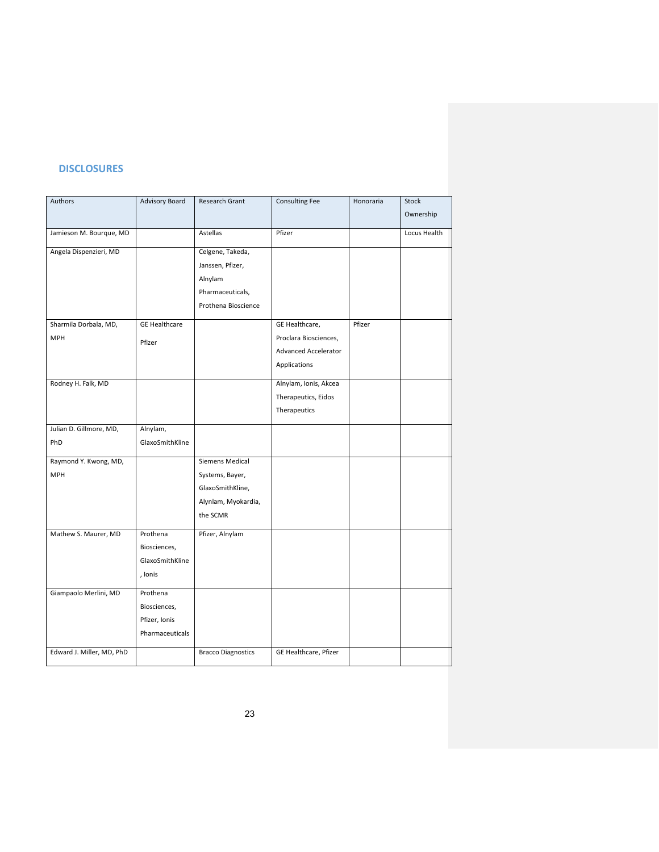## <span id="page-22-0"></span>**DISCLOSURES**

| Authors                   | <b>Advisory Board</b> | Research Grant            | <b>Consulting Fee</b> | Honoraria | Stock        |
|---------------------------|-----------------------|---------------------------|-----------------------|-----------|--------------|
|                           |                       |                           |                       |           | Ownership    |
| Jamieson M. Bourque, MD   |                       | Astellas                  | Pfizer                |           | Locus Health |
| Angela Dispenzieri, MD    |                       | Celgene, Takeda,          |                       |           |              |
|                           |                       | Janssen, Pfizer,          |                       |           |              |
|                           |                       | Alnylam                   |                       |           |              |
|                           |                       | Pharmaceuticals,          |                       |           |              |
|                           |                       | Prothena Bioscience       |                       |           |              |
| Sharmila Dorbala, MD,     | <b>GE Healthcare</b>  |                           | GE Healthcare,        | Pfizer    |              |
| <b>MPH</b>                | Pfizer                |                           | Proclara Biosciences, |           |              |
|                           |                       |                           | Advanced Accelerator  |           |              |
|                           |                       |                           | Applications          |           |              |
| Rodney H. Falk, MD        |                       |                           | Alnylam, Ionis, Akcea |           |              |
|                           |                       |                           | Therapeutics, Eidos   |           |              |
|                           |                       |                           | Therapeutics          |           |              |
| Julian D. Gillmore, MD,   | Alnylam,              |                           |                       |           |              |
| PhD                       | GlaxoSmithKline       |                           |                       |           |              |
| Raymond Y. Kwong, MD,     |                       | Siemens Medical           |                       |           |              |
| <b>MPH</b>                |                       | Systems, Bayer,           |                       |           |              |
|                           |                       | GlaxoSmithKline,          |                       |           |              |
|                           |                       | Alynlam, Myokardia,       |                       |           |              |
|                           |                       | the SCMR                  |                       |           |              |
| Mathew S. Maurer, MD      | Prothena              | Pfizer, Alnylam           |                       |           |              |
|                           | Biosciences,          |                           |                       |           |              |
|                           | GlaxoSmithKline       |                           |                       |           |              |
|                           | , Ionis               |                           |                       |           |              |
| Giampaolo Merlini, MD     | Prothena              |                           |                       |           |              |
|                           | Biosciences,          |                           |                       |           |              |
|                           | Pfizer, Ionis         |                           |                       |           |              |
|                           | Pharmaceuticals       |                           |                       |           |              |
| Edward J. Miller, MD, PhD |                       | <b>Bracco Diagnostics</b> | GE Healthcare, Pfizer |           |              |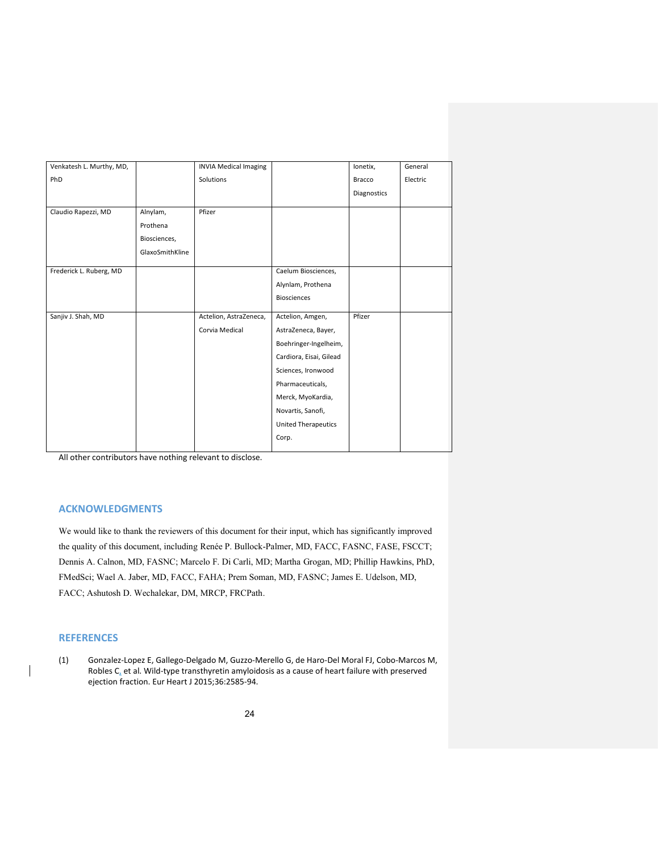| Venkatesh L. Murthy, MD, |                 | <b>INVIA Medical Imaging</b> |                         | lonetix,    | General  |
|--------------------------|-----------------|------------------------------|-------------------------|-------------|----------|
| PhD                      |                 | Solutions                    |                         | Bracco      | Electric |
|                          |                 |                              |                         | Diagnostics |          |
| Claudio Rapezzi, MD      | Alnylam,        | Pfizer                       |                         |             |          |
|                          | Prothena        |                              |                         |             |          |
|                          | Biosciences,    |                              |                         |             |          |
|                          | GlaxoSmithKline |                              |                         |             |          |
| Frederick L. Ruberg, MD  |                 |                              | Caelum Biosciences,     |             |          |
|                          |                 |                              | Alynlam, Prothena       |             |          |
|                          |                 |                              | <b>Biosciences</b>      |             |          |
| Sanjiv J. Shah, MD       |                 | Actelion, AstraZeneca,       | Actelion, Amgen,        | Pfizer      |          |
|                          |                 | Corvia Medical               | AstraZeneca, Bayer,     |             |          |
|                          |                 |                              |                         |             |          |
|                          |                 |                              | Boehringer-Ingelheim,   |             |          |
|                          |                 |                              | Cardiora, Eisai, Gilead |             |          |
|                          |                 |                              | Sciences, Ironwood      |             |          |
|                          |                 |                              | Pharmaceuticals,        |             |          |
|                          |                 |                              | Merck, MyoKardia,       |             |          |
|                          |                 |                              | Novartis, Sanofi,       |             |          |
|                          |                 |                              | United Therapeutics     |             |          |
|                          |                 |                              | Corp.                   |             |          |
|                          |                 |                              |                         |             |          |

All other contributors have nothing relevant to disclose.

## <span id="page-23-0"></span>**ACKNOWLEDGMENTS**

We would like to thank the reviewers of this document for their input, which has significantly improved the quality of this document, including Renée P. Bullock-Palmer, MD, FACC, FASNC, FASE, FSCCT; Dennis A. Calnon, MD, FASNC; Marcelo F. Di Carli, MD; Martha Grogan, MD; Phillip Hawkins, PhD, FMedSci; Wael A. Jaber, MD, FACC, FAHA; Prem Soman, MD, FASNC; James E. Udelson, MD, FACC; Ashutosh D. Wechalekar, DM, MRCP, FRCPath.

## <span id="page-23-1"></span>**REFERENCES**

 $\overline{\phantom{a}}$ 

(1) Gonzalez-Lopez E, Gallego-Delgado M, Guzzo-Merello G, de Haro-Del Moral FJ, Cobo-Marcos M, Robles C, et al. Wild-type transthyretin amyloidosis as a cause of heart failure with preserved ejection fraction. Eur Heart J 2015;36:2585-94.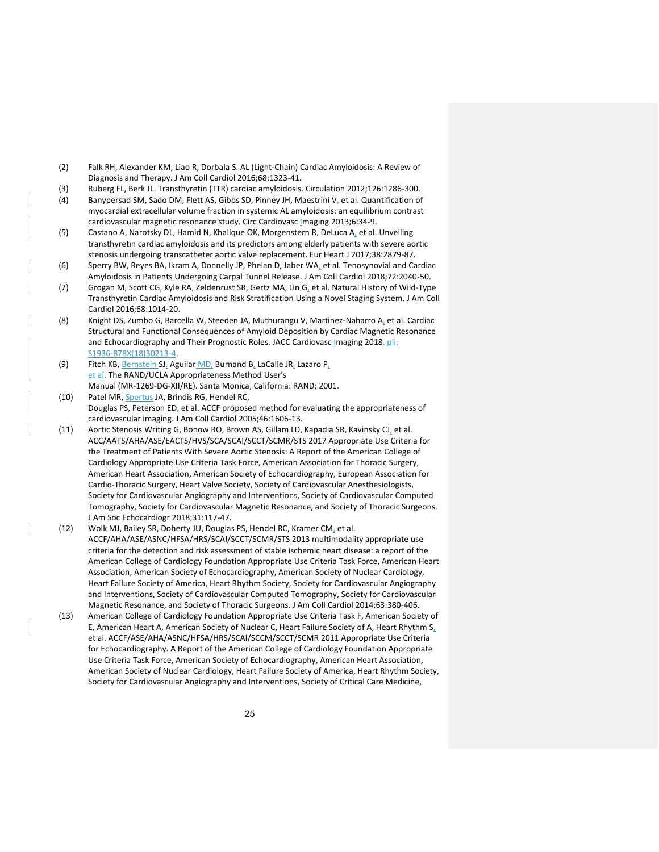- (2) Falk RH, Alexander KM, Liao R, Dorbala S. AL (Light-Chain) Cardiac Amyloidosis: A Review of Diagnosis and Therapy. J Am Coll Cardiol 2016;68:1323-41.
- (3) Ruberg FL, Berk JL. Transthyretin (TTR) cardiac amyloidosis. Circulation 2012;126:1286-300.
- (4) Banypersad SM, Sado DM, Flett AS, Gibbs SD, Pinney JH, Maestrini V, et al. Quantification of myocardial extracellular volume fraction in systemic AL amyloidosis: an equilibrium contrast cardiovascular magnetic resonance study. Circ Cardiovasc Imaging 2013;6:34-9.
- (5) Castano A, Narotsky DL, Hamid N, Khalique OK, Morgenstern R, DeLuca A, et al. Unveiling transthyretin cardiac amyloidosis and its predictors among elderly patients with severe aortic stenosis undergoing transcatheter aortic valve replacement. Eur Heart J 2017;38:2879-87.
- (6) Sperry BW, Reyes BA, Ikram A, Donnelly JP, Phelan D, Jaber WA, et al. Tenosynovial and Cardiac Amyloidosis in Patients Undergoing Carpal Tunnel Release. J Am Coll Cardiol 2018;72:2040-50.
- (7) Grogan M, Scott CG, Kyle RA, Zeldenrust SR, Gertz MA, Lin G, et al. Natural History of Wild-Type Transthyretin Cardiac Amyloidosis and Risk Stratification Using a Novel Staging System. J Am Coll Cardiol 2016;68:1014-20.
- (8) Knight DS, Zumbo G, Barcella W, Steeden JA, Muthurangu V, Martinez-Naharro A, et al. Cardiac Structural and Functional Consequences of Amyloid Deposition by Cardiac Magnetic Resonance and Echocardiography and Their Prognostic Roles. JACC Cardiovasc Imaging 2018. pii: S1936-878X(18)30213-4.
- (9) Fitch KB, Bernstein SJ, Aguilar MD, Burnand B, LaCalle JR, Lazaro P, et al. The RAND/UCLA Appropriateness Method User's Manual (MR-1269-DG-XII/RE). Santa Monica, California: RAND; 2001.
- (10) Patel MR, Spertus JA, Brindis RG, Hendel RC, Douglas PS, Peterson ED, et al. ACCF proposed method for evaluating the appropriateness of cardiovascular imaging. J Am Coll Cardiol 2005;46:1606-13.
- (11) Aortic Stenosis Writing G, Bonow RO, Brown AS, Gillam LD, Kapadia SR, Kavinsky CJ, et al. ACC/AATS/AHA/ASE/EACTS/HVS/SCA/SCAI/SCCT/SCMR/STS 2017 Appropriate Use Criteria for the Treatment of Patients With Severe Aortic Stenosis: A Report of the American College of Cardiology Appropriate Use Criteria Task Force, American Association for Thoracic Surgery, American Heart Association, American Society of Echocardiography, European Association for Cardio-Thoracic Surgery, Heart Valve Society, Society of Cardiovascular Anesthesiologists, Society for Cardiovascular Angiography and Interventions, Society of Cardiovascular Computed Tomography, Society for Cardiovascular Magnetic Resonance, and Society of Thoracic Surgeons. J Am Soc Echocardiogr 2018;31:117-47.
- (12) Wolk MJ, Bailey SR, Doherty JU, Douglas PS, Hendel RC, Kramer CM, et al. ACCF/AHA/ASE/ASNC/HFSA/HRS/SCAI/SCCT/SCMR/STS 2013 multimodality appropriate use criteria for the detection and risk assessment of stable ischemic heart disease: a report of the American College of Cardiology Foundation Appropriate Use Criteria Task Force, American Heart Association, American Society of Echocardiography, American Society of Nuclear Cardiology, Heart Failure Society of America, Heart Rhythm Society, Society for Cardiovascular Angiography and Interventions, Society of Cardiovascular Computed Tomography, Society for Cardiovascular Magnetic Resonance, and Society of Thoracic Surgeons. J Am Coll Cardiol 2014;63:380-406.
- (13) American College of Cardiology Foundation Appropriate Use Criteria Task F, American Society of E, American Heart A, American Society of Nuclear C, Heart Failure Society of A, Heart Rhythm  $S_i$ et al. ACCF/ASE/AHA/ASNC/HFSA/HRS/SCAI/SCCM/SCCT/SCMR 2011 Appropriate Use Criteria for Echocardiography. A Report of the American College of Cardiology Foundation Appropriate Use Criteria Task Force, American Society of Echocardiography, American Heart Association, American Society of Nuclear Cardiology, Heart Failure Society of America, Heart Rhythm Society, Society for Cardiovascular Angiography and Interventions, Society of Critical Care Medicine,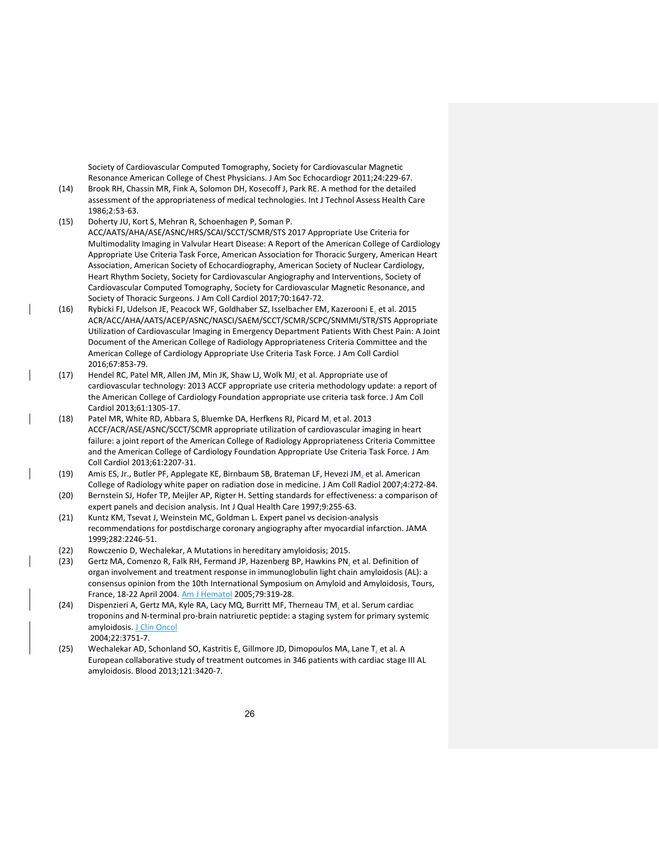Society of Cardiovascular Computed Tomography, Society for Cardiovascular Magnetic Resonance American College of Chest Physicians. J Am Soc Echocardiogr 2011;24:229-67.

- (14) Brook RH, Chassin MR, Fink A, Solomon DH, Kosecoff J, Park RE. A method for the detailed assessment of the appropriateness of medical technologies. Int J Technol Assess Health Care 1986;2:53-63.
- (15) Doherty JU, Kort S, Mehran R, Schoenhagen P, Soman P. ACC/AATS/AHA/ASE/ASNC/HRS/SCAI/SCCT/SCMR/STS 2017 Appropriate Use Criteria for Multimodality Imaging in Valvular Heart Disease: A Report of the American College of Cardiology Appropriate Use Criteria Task Force, American Association for Thoracic Surgery, American Heart Association, American Society of Echocardiography, American Society of Nuclear Cardiology, Heart Rhythm Society, Society for Cardiovascular Angiography and Interventions, Society of Cardiovascular Computed Tomography, Society for Cardiovascular Magnetic Resonance, and Society of Thoracic Surgeons. J Am Coll Cardiol 2017;70:1647-72.
- (16) Rybicki FJ, Udelson JE, Peacock WF, Goldhaber SZ, Isselbacher EM, Kazerooni E, et al. 2015 ACR/ACC/AHA/AATS/ACEP/ASNC/NASCI/SAEM/SCCT/SCMR/SCPC/SNMMI/STR/STS Appropriate Utilization of Cardiovascular Imaging in Emergency Department Patients With Chest Pain: A Joint Document of the American College of Radiology Appropriateness Criteria Committee and the American College of Cardiology Appropriate Use Criteria Task Force. J Am Coll Cardiol 2016;67:853-79.
- (17) Hendel RC, Patel MR, Allen JM, Min JK, Shaw LJ, Wolk MJ, et al. Appropriate use of cardiovascular technology: 2013 ACCF appropriate use criteria methodology update: a report of the American College of Cardiology Foundation appropriate use criteria task force. J Am Coll Cardiol 2013;61:1305-17.
- (18) Patel MR, White RD, Abbara S, Bluemke DA, Herfkens RJ, Picard M, et al. 2013 ACCF/ACR/ASE/ASNC/SCCT/SCMR appropriate utilization of cardiovascular imaging in heart failure: a joint report of the American College of Radiology Appropriateness Criteria Committee and the American College of Cardiology Foundation Appropriate Use Criteria Task Force. J Am Coll Cardiol 2013;61:2207-31.
- (19) Amis ES, Jr., Butler PF, Applegate KE, Birnbaum SB, Brateman LF, Hevezi JM, et al. American College of Radiology white paper on radiation dose in medicine. J Am Coll Radiol 2007;4:272-84.
- (20) Bernstein SJ, Hofer TP, Meijler AP, Rigter H. Setting standards for effectiveness: a comparison of expert panels and decision analysis. Int J Qual Health Care 1997;9:255-63.
- (21) Kuntz KM, Tsevat J, Weinstein MC, Goldman L. Expert panel vs decision-analysis recommendations for postdischarge coronary angiography after myocardial infarction. JAMA 1999;282:2246-51.
- (22) Rowczenio D, Wechalekar, A Mutations in hereditary amyloidosis; 2015.
- (23) Gertz MA, Comenzo R, Falk RH, Fermand JP, Hazenberg BP, Hawkins PN, et al. Definition of organ involvement and treatment response in immunoglobulin light chain amyloidosis (AL): a consensus opinion from the 10th International Symposium on Amyloid and Amyloidosis, Tours, France, 18-22 April 2004. Am J Hematol 2005;79:319-28.
- (24) Dispenzieri A, Gertz MA, Kyle RA, Lacy MQ, Burritt MF, Therneau TM, et al. Serum cardiac troponins and N-terminal pro-brain natriuretic peptide: a staging system for primary systemic amyloidosis. J Clin Oncol

2004;22:3751-7.

(25) Wechalekar AD, Schonland SO, Kastritis E, Gillmore JD, Dimopoulos MA, Lane T, et al. A European collaborative study of treatment outcomes in 346 patients with cardiac stage III AL amyloidosis. Blood 2013;121:3420-7.